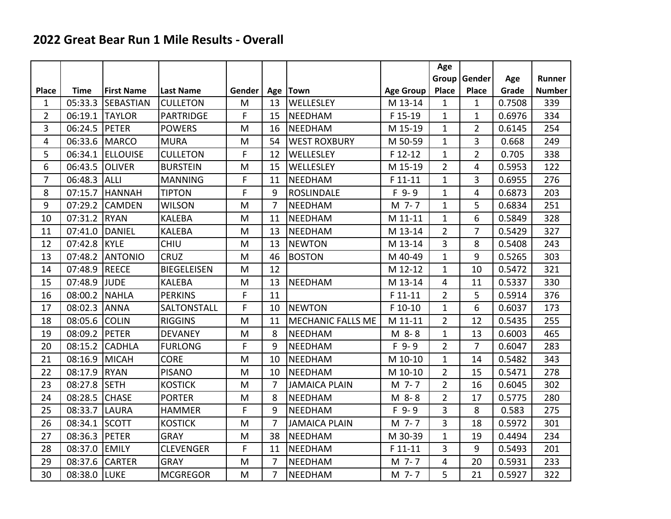## **2022 Great Bear Run 1 Mile Results - Overall**

|                |               |                   |                    |        |                |                          |                  | Age            |                |        |               |
|----------------|---------------|-------------------|--------------------|--------|----------------|--------------------------|------------------|----------------|----------------|--------|---------------|
|                |               |                   |                    |        |                |                          |                  | Group          | Gender         | Age    | Runner        |
| <b>Place</b>   | <b>Time</b>   | <b>First Name</b> | <b>Last Name</b>   | Gender | Age            | <b>Town</b>              | <b>Age Group</b> | Place          | Place          | Grade  | <b>Number</b> |
| $\mathbf{1}$   | 05:33.3       | <b>SEBASTIAN</b>  | <b>CULLETON</b>    | M      | 13             | WELLESLEY                | M 13-14          | $\mathbf{1}$   | $\mathbf{1}$   | 0.7508 | 339           |
| $\overline{2}$ | 06:19.1       | <b>TAYLOR</b>     | <b>PARTRIDGE</b>   | F      | 15             | NEEDHAM                  | F 15-19          | $\mathbf{1}$   | $\mathbf{1}$   | 0.6976 | 334           |
| 3              | 06:24.5 PETER |                   | <b>POWERS</b>      | M      | 16             | <b>NEEDHAM</b>           | M 15-19          | $\mathbf{1}$   | $\overline{2}$ | 0.6145 | 254           |
| 4              |               | 06:33.6 MARCO     | <b>MURA</b>        | M      | 54             | <b>WEST ROXBURY</b>      | M 50-59          | $\mathbf{1}$   | 3              | 0.668  | 249           |
| 5              | 06:34.1       | <b>ELLOUISE</b>   | <b>CULLETON</b>    | F      | 12             | WELLESLEY                | F 12-12          | $\mathbf{1}$   | $\overline{2}$ | 0.705  | 338           |
| 6              | 06:43.5       | <b>OLIVER</b>     | <b>BURSTEIN</b>    | M      | 15             | WELLESLEY                | M 15-19          | $\overline{2}$ | 4              | 0.5953 | 122           |
| $\overline{7}$ | 06:48.3       | <b>ALLI</b>       | <b>MANNING</b>     | F      | 11             | NEEDHAM                  | F 11-11          | $\mathbf{1}$   | 3              | 0.6955 | 276           |
| 8              | 07:15.7       | <b>HANNAH</b>     | <b>TIPTON</b>      | F      | 9              | <b>ROSLINDALE</b>        | $F$ 9-9          | $\mathbf{1}$   | 4              | 0.6873 | 203           |
| 9              | 07:29.2       | <b>CAMDEN</b>     | <b>WILSON</b>      | M      | $\overline{7}$ | NEEDHAM                  | M 7-7            | $\mathbf{1}$   | 5              | 0.6834 | 251           |
| 10             | 07:31.2 RYAN  |                   | <b>KALEBA</b>      | M      | 11             | NEEDHAM                  | M 11-11          | $\mathbf{1}$   | 6              | 0.5849 | 328           |
| 11             | 07:41.0       | <b>DANIEL</b>     | <b>KALEBA</b>      | M      | 13             | NEEDHAM                  | M 13-14          | $\overline{2}$ | 7              | 0.5429 | 327           |
| 12             | 07:42.8 KYLE  |                   | <b>CHIU</b>        | M      | 13             | <b>NEWTON</b>            | M 13-14          | 3              | 8              | 0.5408 | 243           |
| 13             | 07:48.2       | <b>ANTONIO</b>    | <b>CRUZ</b>        | M      | 46             | <b>BOSTON</b>            | M 40-49          | $\mathbf{1}$   | 9              | 0.5265 | 303           |
| 14             | 07:48.9 REECE |                   | <b>BIEGELEISEN</b> | M      | 12             |                          | M 12-12          | $\mathbf{1}$   | 10             | 0.5472 | 321           |
| 15             | 07:48.9 JUDE  |                   | <b>KALEBA</b>      | M      | 13             | NEEDHAM                  | M 13-14          | 4              | 11             | 0.5337 | 330           |
| 16             | 08:00.2       | NAHLA             | <b>PERKINS</b>     | F      | 11             |                          | F 11-11          | $\overline{2}$ | 5              | 0.5914 | 376           |
| 17             | 08:02.3       | <b>ANNA</b>       | SALTONSTALL        | F      | 10             | <b>NEWTON</b>            | F 10-10          | $\mathbf{1}$   | 6              | 0.6037 | 173           |
| 18             | 08:05.6       | lcolin            | <b>RIGGINS</b>     | M      | 11             | <b>MECHANIC FALLS ME</b> | M 11-11          | $\overline{2}$ | 12             | 0.5435 | 255           |
| 19             | 08:09.2 PETER |                   | <b>DEVANEY</b>     | M      | 8              | <b>NEEDHAM</b>           | M 8-8            | $\mathbf{1}$   | 13             | 0.6003 | 465           |
| 20             | 08:15.2       | <b>CADHLA</b>     | <b>FURLONG</b>     | F      | 9              | <b>NEEDHAM</b>           | $F$ 9-9          | $\overline{2}$ | $\overline{7}$ | 0.6047 | 283           |
| 21             | 08:16.9       | MICAH             | <b>CORE</b>        | M      | 10             | NEEDHAM                  | M 10-10          | $\mathbf{1}$   | 14             | 0.5482 | 343           |
| 22             | 08:17.9       | <b>RYAN</b>       | <b>PISANO</b>      | M      | 10             | NEEDHAM                  | M 10-10          | $\overline{2}$ | 15             | 0.5471 | 278           |
| 23             | 08:27.8 SETH  |                   | <b>KOSTICK</b>     | M      | $\overline{7}$ | <b>JAMAICA PLAIN</b>     | M 7-7            | $\overline{2}$ | 16             | 0.6045 | 302           |
| 24             | 08:28.5       | <b>CHASE</b>      | <b>PORTER</b>      | M      | 8              | NEEDHAM                  | M 8-8            | $\overline{2}$ | 17             | 0.5775 | 280           |
| 25             | 08:33.7       | <b>LAURA</b>      | <b>HAMMER</b>      | F      | 9              | <b>NEEDHAM</b>           | $F$ 9-9          | $\overline{3}$ | 8              | 0.583  | 275           |
| 26             | 08:34.1       | <b>SCOTT</b>      | <b>KOSTICK</b>     | M      | 7              | <b>JAMAICA PLAIN</b>     | M 7-7            | 3              | 18             | 0.5972 | 301           |
| 27             | 08:36.3       | PETER             | <b>GRAY</b>        | M      | 38             | NEEDHAM                  | M 30-39          | $\mathbf{1}$   | 19             | 0.4494 | 234           |
| 28             | 08:37.0       | <b>EMILY</b>      | <b>CLEVENGER</b>   | F      | 11             | NEEDHAM                  | F 11-11          | 3              | 9              | 0.5493 | 201           |
| 29             | 08:37.6       | <b>CARTER</b>     | <b>GRAY</b>        | M      | 7              | NEEDHAM                  | M 7-7            | 4              | 20             | 0.5931 | 233           |
| 30             | 08:38.0       | LUKE              | <b>MCGREGOR</b>    | M      | 7              | NEEDHAM                  | M 7-7            | 5              | 21             | 0.5927 | 322           |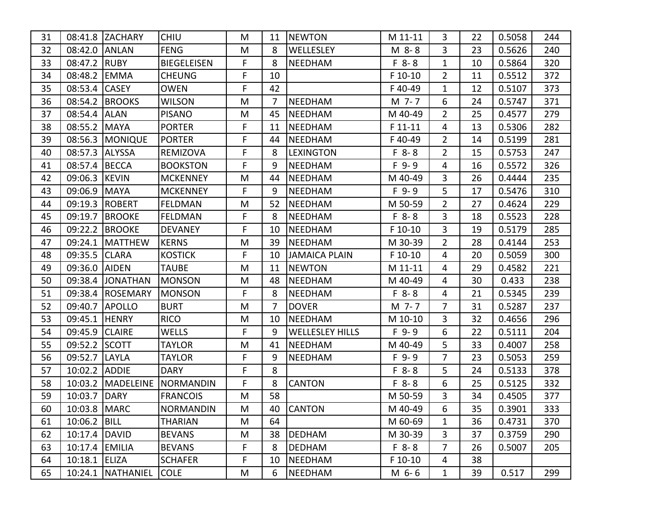| 31 |                | 08:41.8 ZACHARY     | <b>CHIU</b>        | M  | 11             | <b>NEWTON</b>          | M 11-11   | 3              | 22 | 0.5058 | 244 |
|----|----------------|---------------------|--------------------|----|----------------|------------------------|-----------|----------------|----|--------|-----|
| 32 | 08:42.0 ANLAN  |                     | <b>FENG</b>        | M  | 8              | WELLESLEY              | M 8-8     | 3              | 23 | 0.5626 | 240 |
| 33 | 08:47.2 RUBY   |                     | <b>BIEGELEISEN</b> | F  | 8              | <b>NEEDHAM</b>         | $F 8 - 8$ | $\mathbf{1}$   | 10 | 0.5864 | 320 |
| 34 | 08:48.2 EMMA   |                     | <b>CHEUNG</b>      | F  | 10             |                        | F 10-10   | $\overline{2}$ | 11 | 0.5512 | 372 |
| 35 | 08:53.4 CASEY  |                     | <b>OWEN</b>        | F  | 42             |                        | F40-49    | $\mathbf{1}$   | 12 | 0.5107 | 373 |
| 36 |                | 08:54.2 BROOKS      | <b>WILSON</b>      | M  | $\overline{7}$ | <b>NEEDHAM</b>         | M 7-7     | 6              | 24 | 0.5747 | 371 |
| 37 | 08:54.4        | <b>ALAN</b>         | <b>PISANO</b>      | M  | 45             | NEEDHAM                | M 40-49   | $\overline{2}$ | 25 | 0.4577 | 279 |
| 38 | 08:55.2   MAYA |                     | <b>PORTER</b>      | F  | 11             | NEEDHAM                | $F11-11$  | 4              | 13 | 0.5306 | 282 |
| 39 |                | 08:56.3   MONIQUE   | <b>PORTER</b>      | F  | 44             | <b>NEEDHAM</b>         | F40-49    | $\overline{2}$ | 14 | 0.5199 | 281 |
| 40 | 08:57.3        | <b>ALYSSA</b>       | REMIZOVA           | F  | 8              | <b>LEXINGTON</b>       | $F 8 - 8$ | $\overline{2}$ | 15 | 0.5753 | 247 |
| 41 | 08:57.4 BECCA  |                     | <b>BOOKSTON</b>    | F  | 9              | <b>NEEDHAM</b>         | $F$ 9-9   | 4              | 16 | 0.5572 | 326 |
| 42 | 09:06.3 KEVIN  |                     | <b>MCKENNEY</b>    | M  | 44             | <b>NEEDHAM</b>         | M 40-49   | 3              | 26 | 0.4444 | 235 |
| 43 | 09:06.9   MAYA |                     | <b>MCKENNEY</b>    | F  | 9              | <b>NEEDHAM</b>         | $F$ 9-9   | 5              | 17 | 0.5476 | 310 |
| 44 |                | 09:19.3 ROBERT      | <b>FELDMAN</b>     | M  | 52             | <b>NEEDHAM</b>         | M 50-59   | $\overline{2}$ | 27 | 0.4624 | 229 |
| 45 | 09:19.7        | <b>BROOKE</b>       | <b>FELDMAN</b>     | F  | 8              | NEEDHAM                | $F 8-8$   | 3              | 18 | 0.5523 | 228 |
| 46 |                | 09:22.2 BROOKE      | <b>DEVANEY</b>     | F  | 10             | <b>NEEDHAM</b>         | F 10-10   | 3              | 19 | 0.5179 | 285 |
| 47 | 09:24.1        | <b>MATTHEW</b>      | <b>KERNS</b>       | M  | 39             | <b>NEEDHAM</b>         | M 30-39   | $\overline{2}$ | 28 | 0.4144 | 253 |
| 48 | 09:35.5        | <b>CLARA</b>        | <b>KOSTICK</b>     | F  | 10             | <b>JAMAICA PLAIN</b>   | $F$ 10-10 | 4              | 20 | 0.5059 | 300 |
| 49 | 09:36.0 AIDEN  |                     | <b>TAUBE</b>       | M  | 11             | <b>NEWTON</b>          | M 11-11   | 4              | 29 | 0.4582 | 221 |
| 50 | 09:38.4        | <b>JONATHAN</b>     | <b>MONSON</b>      | M  | 48             | <b>NEEDHAM</b>         | M 40-49   | 4              | 30 | 0.433  | 238 |
| 51 |                | 09:38.4 ROSEMARY    | <b>MONSON</b>      | F. | 8              | <b>NEEDHAM</b>         | $F 8 - 8$ | 4              | 21 | 0.5345 | 239 |
| 52 | 09:40.7        | <b>APOLLO</b>       | <b>BURT</b>        | M  | 7              | <b>DOVER</b>           | M 7-7     | 7              | 31 | 0.5287 | 237 |
| 53 | 09:45.1 HENRY  |                     | <b>RICO</b>        | M  | 10             | <b>NEEDHAM</b>         | M 10-10   | 3              | 32 | 0.4656 | 296 |
| 54 | 09:45.9 CLAIRE |                     | WELLS              | F  | 9              | <b>WELLESLEY HILLS</b> | $F$ 9-9   | 6              | 22 | 0.5111 | 204 |
| 55 | 09:52.2 SCOTT  |                     | <b>TAYLOR</b>      | M  | 41             | <b>NEEDHAM</b>         | M 40-49   | 5              | 33 | 0.4007 | 258 |
| 56 | 09:52.7        | <b>LAYLA</b>        | <b>TAYLOR</b>      | F  | 9              | <b>NEEDHAM</b>         | $F$ 9-9   | 7              | 23 | 0.5053 | 259 |
| 57 | 10:02.2 ADDIE  |                     | <b>DARY</b>        | F  | 8              |                        | $F 8 - 8$ | 5              | 24 | 0.5133 | 378 |
| 58 |                | 10:03.2   MADELEINE | NORMANDIN          | F  | 8              | <b>CANTON</b>          | $F 8 - 8$ | 6              | 25 | 0.5125 | 332 |
| 59 | 10:03.7        | <b>DARY</b>         | <b>FRANCOIS</b>    | M  | 58             |                        | M 50-59   | 3              | 34 | 0.4505 | 377 |
| 60 | 10:03.8   MARC |                     | <b>NORMANDIN</b>   | M  |                | 40 CANTON              | M 40-49   | 6              | 35 | 0.3901 | 333 |
| 61 | 10:06.2   BILL |                     | <b>THARIAN</b>     | M  | 64             |                        | M 60-69   | $\mathbf{1}$   | 36 | 0.4731 | 370 |
| 62 | 10:17.4 DAVID  |                     | <b>BEVANS</b>      | M  | 38             | <b>DEDHAM</b>          | M 30-39   | 3              | 37 | 0.3759 | 290 |
| 63 | 10:17.4 EMILIA |                     | <b>BEVANS</b>      | F  | 8              | <b>DEDHAM</b>          | $F 8 - 8$ | $\overline{7}$ | 26 | 0.5007 | 205 |
| 64 | 10:18.1 ELIZA  |                     | <b>SCHAFER</b>     | F  | 10             | NEEDHAM                | F 10-10   | 4              | 38 |        |     |
| 65 |                | 10:24.1   NATHANIEL | <b>COLE</b>        | M  | 6              | NEEDHAM                | M 6-6     | $\mathbf{1}$   | 39 | 0.517  | 299 |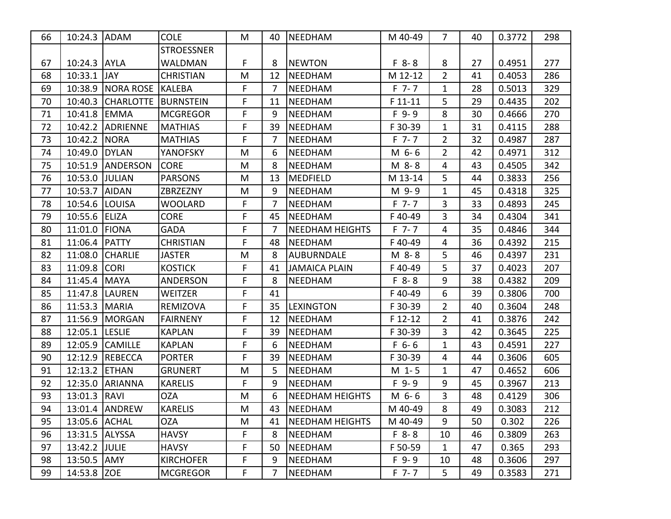| 66 | 10:24.3 ADAM   |                  | <b>COLE</b>       | M  | 40             | NEEDHAM                | M 40-49   | 7              | 40 | 0.3772 | 298 |
|----|----------------|------------------|-------------------|----|----------------|------------------------|-----------|----------------|----|--------|-----|
|    |                |                  | <b>STROESSNER</b> |    |                |                        |           |                |    |        |     |
| 67 | 10:24.3 AYLA   |                  | WALDMAN           | F  | 8              | <b>NEWTON</b>          | $F 8 - 8$ | 8              | 27 | 0.4951 | 277 |
| 68 | 10:33.1        | JAY.             | <b>CHRISTIAN</b>  | M  | 12             | <b>NEEDHAM</b>         | M 12-12   | $\overline{2}$ | 41 | 0.4053 | 286 |
| 69 | 10:38.9        | NORA ROSE        | <b>KALEBA</b>     | F  | 7              | <b>NEEDHAM</b>         | $F$ 7-7   | $\mathbf{1}$   | 28 | 0.5013 | 329 |
| 70 | 10:40.3        | <b>CHARLOTTE</b> | BURNSTEIN         | F  | 11             | <b>NEEDHAM</b>         | F 11-11   | 5              | 29 | 0.4435 | 202 |
| 71 | 10:41.8        | EMMA             | <b>MCGREGOR</b>   | F  | 9              | <b>NEEDHAM</b>         | $F$ 9-9   | 8              | 30 | 0.4666 | 270 |
| 72 |                | 10:42.2 ADRIENNE | <b>MATHIAS</b>    | F  | 39             | NEEDHAM                | F 30-39   | $\mathbf{1}$   | 31 | 0.4115 | 288 |
| 73 | 10:42.2 NORA   |                  | <b>MATHIAS</b>    | F  | $\overline{7}$ | <b>NEEDHAM</b>         | $F$ 7-7   | $\overline{2}$ | 32 | 0.4987 | 287 |
| 74 | 10:49.0        | DYLAN            | YANOFSKY          | M  | 6              | <b>NEEDHAM</b>         | M 6-6     | $\overline{2}$ | 42 | 0.4971 | 312 |
| 75 | 10:51.9        | ANDERSON         | <b>CORE</b>       | M  | 8              | <b>NEEDHAM</b>         | M 8-8     | 4              | 43 | 0.4505 | 342 |
| 76 | 10:53.0 JULIAN |                  | <b>PARSONS</b>    | M  | 13             | <b>MEDFIELD</b>        | M 13-14   | 5              | 44 | 0.3833 | 256 |
| 77 | 10:53.7 AIDAN  |                  | ZBRZEZNY          | M  | 9              | <b>NEEDHAM</b>         | M 9-9     | $\mathbf{1}$   | 45 | 0.4318 | 325 |
| 78 | 10:54.6        | <b>LOUISA</b>    | WOOLARD           | F  | 7              | NEEDHAM                | $F$ 7-7   | 3              | 33 | 0.4893 | 245 |
| 79 | 10:55.6        | <b>ELIZA</b>     | <b>CORE</b>       | F. | 45             | <b>NEEDHAM</b>         | F40-49    | 3              | 34 | 0.4304 | 341 |
| 80 | 11:01.0        | <b>FIONA</b>     | <b>GADA</b>       | F  | 7              | <b>NEEDHAM HEIGHTS</b> | $F$ 7-7   | 4              | 35 | 0.4846 | 344 |
| 81 | 11:06.4        | <b>PATTY</b>     | <b>CHRISTIAN</b>  | F. | 48             | <b>NEEDHAM</b>         | F40-49    | 4              | 36 | 0.4392 | 215 |
| 82 | 11:08.0        | <b>CHARLIE</b>   | <b>JASTER</b>     | M  | 8              | <b>AUBURNDALE</b>      | M 8-8     | 5              | 46 | 0.4397 | 231 |
| 83 | 11:09.8        | <b>CORI</b>      | <b>KOSTICK</b>    | F. | 41             | <b>JAMAICA PLAIN</b>   | F40-49    | 5              | 37 | 0.4023 | 207 |
| 84 | 11:45.4        | MAYA             | ANDERSON          | F  | 8              | <b>NEEDHAM</b>         | $F 8 - 8$ | 9              | 38 | 0.4382 | 209 |
| 85 |                | 11:47.8   LAUREN | WEITZER           | F. | 41             |                        | F40-49    | 6              | 39 | 0.3806 | 700 |
| 86 | 11:53.3        | <b>MARIA</b>     | REMIZOVA          | F  | 35             | <b>LEXINGTON</b>       | F 30-39   | 2              | 40 | 0.3604 | 248 |
| 87 | 11:56.9        | <b>MORGAN</b>    | <b>FAIRNENY</b>   | F  | 12             | <b>NEEDHAM</b>         | $F$ 12-12 | $\overline{2}$ | 41 | 0.3876 | 242 |
| 88 | 12:05.1        | <b>LESLIE</b>    | <b>KAPLAN</b>     | F  | 39             | <b>NEEDHAM</b>         | F 30-39   | 3              | 42 | 0.3645 | 225 |
| 89 | 12:05.9        | <b>CAMILLE</b>   | <b>KAPLAN</b>     | F  | 6              | <b>NEEDHAM</b>         | $F$ 6-6   | $\mathbf{1}$   | 43 | 0.4591 | 227 |
| 90 | 12:12.9        | REBECCA          | <b>PORTER</b>     | F  | 39             | <b>NEEDHAM</b>         | F 30-39   | 4              | 44 | 0.3606 | 605 |
| 91 | 12:13.2        | <b>ETHAN</b>     | <b>GRUNERT</b>    | M  | 5              | <b>NEEDHAM</b>         | $M_1 - 5$ | $\mathbf 1$    | 47 | 0.4652 | 606 |
| 92 | 12:35.0        | <b>ARIANNA</b>   | <b>KARELIS</b>    | F  | 9              | <b>NEEDHAM</b>         | $F$ 9-9   | 9              | 45 | 0.3967 | 213 |
| 93 | 13:01.3        | <b>RAVI</b>      | <b>OZA</b>        | M  | 6              | <b>NEEDHAM HEIGHTS</b> | M 6-6     | 3              | 48 | 0.4129 | 306 |
| 94 |                | 13:01.4   ANDREW | <b>KARELIS</b>    | M  | 43             | NEEDHAM                | M 40-49   | 8              | 49 | 0.3083 | 212 |
| 95 | 13:05.6 ACHAL  |                  | OZA               | M  | 41             | NEEDHAM HEIGHTS        | M 40-49   | 9              | 50 | 0.302  | 226 |
| 96 | 13:31.5 ALYSSA |                  | <b>HAVSY</b>      | F  | 8              | <b>NEEDHAM</b>         | $F 8 - 8$ | 10             | 46 | 0.3809 | 263 |
| 97 | 13:42.2 JULIE  |                  | <b>HAVSY</b>      | F  | 50             | NEEDHAM                | F 50-59   | $\mathbf{1}$   | 47 | 0.365  | 293 |
| 98 | 13:50.5 AMY    |                  | <b>KIRCHOFER</b>  | F  | 9              | NEEDHAM                | $F$ 9-9   | 10             | 48 | 0.3606 | 297 |
| 99 | 14:53.8 ZOE    |                  | <b>MCGREGOR</b>   | F  | $\overline{7}$ | <b>NEEDHAM</b>         | $F$ 7-7   | 5              | 49 | 0.3583 | 271 |